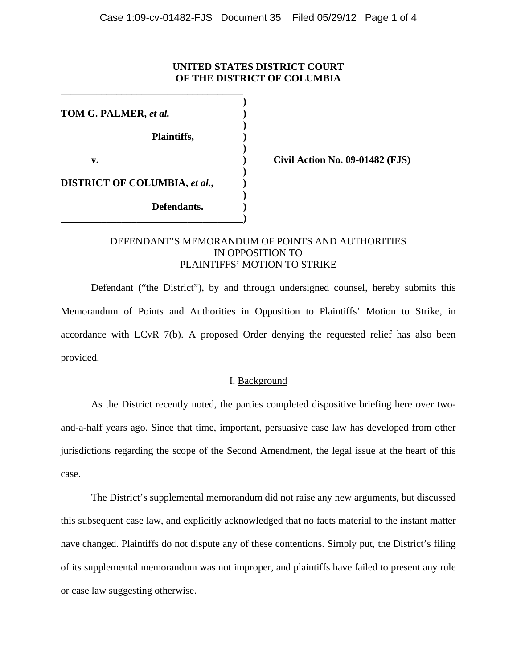## **UNITED STATES DISTRICT COURT OF THE DISTRICT OF COLUMBIA**

| TOM G. PALMER, et al.                |  |
|--------------------------------------|--|
| Plaintiffs,                          |  |
| v.                                   |  |
| <b>DISTRICT OF COLUMBIA, et al.,</b> |  |
| Defendants.                          |  |

**\_\_\_\_\_\_\_\_\_\_\_\_\_\_\_\_\_\_\_\_\_\_\_\_\_\_\_\_\_\_\_\_\_\_\_\_** 

**v. ) Civil Action No. 09-01482 (FJS)** 

## DEFENDANT'S MEMORANDUM OF POINTS AND AUTHORITIES IN OPPOSITION TO PLAINTIFFS' MOTION TO STRIKE

Defendant ("the District"), by and through undersigned counsel, hereby submits this Memorandum of Points and Authorities in Opposition to Plaintiffs' Motion to Strike, in accordance with LCvR 7(b). A proposed Order denying the requested relief has also been provided.

### I. Background

 As the District recently noted, the parties completed dispositive briefing here over twoand-a-half years ago. Since that time, important, persuasive case law has developed from other jurisdictions regarding the scope of the Second Amendment, the legal issue at the heart of this case.

 The District's supplemental memorandum did not raise any new arguments, but discussed this subsequent case law, and explicitly acknowledged that no facts material to the instant matter have changed. Plaintiffs do not dispute any of these contentions. Simply put, the District's filing of its supplemental memorandum was not improper, and plaintiffs have failed to present any rule or case law suggesting otherwise.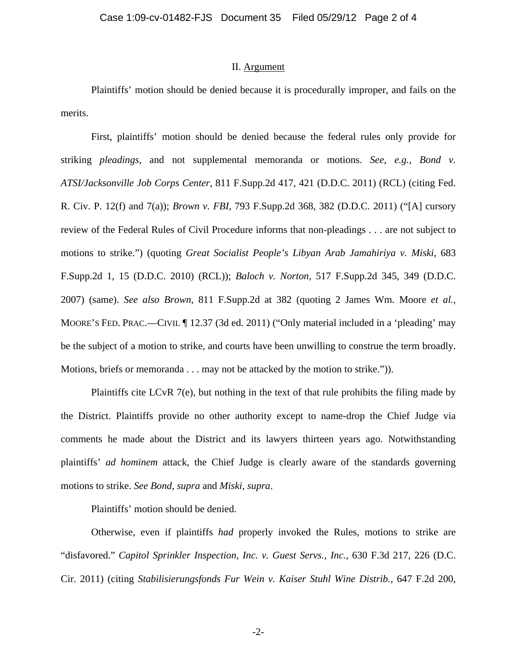### II. Argument

 Plaintiffs' motion should be denied because it is procedurally improper, and fails on the merits.

 First, plaintiffs' motion should be denied because the federal rules only provide for striking *pleadings*, and not supplemental memoranda or motions. *See, e.g., Bond v. ATSI/Jacksonville Job Corps Center*, 811 F.Supp.2d 417, 421 (D.D.C. 2011) (RCL) (citing Fed. R. Civ. P. 12(f) and 7(a)); *Brown v. FBI*, 793 F.Supp.2d 368, 382 (D.D.C. 2011) ("[A] cursory review of the Federal Rules of Civil Procedure informs that non-pleadings . . . are not subject to motions to strike.") (quoting *Great Socialist People's Libyan Arab Jamahiriya v. Miski*, 683 F.Supp.2d 1, 15 (D.D.C. 2010) (RCL)); *Baloch v. Norton*, 517 F.Supp.2d 345, 349 (D.D.C. 2007) (same). *See also Brown*, 811 F.Supp.2d at 382 (quoting 2 James Wm. Moore *et al.*, MOORE'S FED. PRAC.—CIVIL ¶ 12.37 (3d ed. 2011) ("Only material included in a 'pleading' may be the subject of a motion to strike, and courts have been unwilling to construe the term broadly. Motions, briefs or memoranda . . . may not be attacked by the motion to strike.")).

 Plaintiffs cite LCvR 7(e), but nothing in the text of that rule prohibits the filing made by the District. Plaintiffs provide no other authority except to name-drop the Chief Judge via comments he made about the District and its lawyers thirteen years ago. Notwithstanding plaintiffs' *ad hominem* attack, the Chief Judge is clearly aware of the standards governing motions to strike. *See Bond, supra* and *Miski, supra*.

Plaintiffs' motion should be denied.

Otherwise, even if plaintiffs *had* properly invoked the Rules, motions to strike are "disfavored." *Capitol Sprinkler Inspection, Inc. v. Guest Servs., Inc.*, 630 F.3d 217, 226 (D.C. Cir. 2011) (citing *Stabilisierungsfonds Fur Wein v. Kaiser Stuhl Wine Distrib.*, 647 F.2d 200,

-2-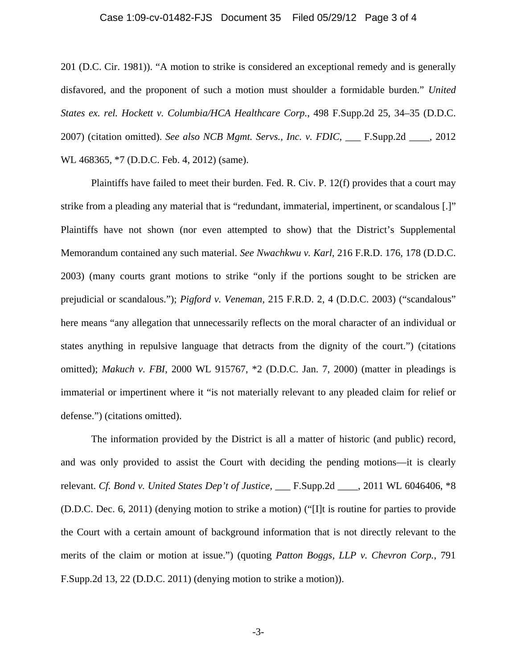#### Case 1:09-cv-01482-FJS Document 35 Filed 05/29/12 Page 3 of 4

201 (D.C. Cir. 1981)). "A motion to strike is considered an exceptional remedy and is generally disfavored, and the proponent of such a motion must shoulder a formidable burden." *United States ex. rel. Hockett v. Columbia/HCA Healthcare Corp.*, 498 F.Supp.2d 25, 34–35 (D.D.C. 2007) (citation omitted). *See also NCB Mgmt. Servs., Inc. v. FDIC*, \_\_\_ F.Supp.2d \_\_\_\_, 2012 WL 468365, \*7 (D.D.C. Feb. 4, 2012) (same).

 Plaintiffs have failed to meet their burden. Fed. R. Civ. P. 12(f) provides that a court may strike from a pleading any material that is "redundant, immaterial, impertinent, or scandalous [.]" Plaintiffs have not shown (nor even attempted to show) that the District's Supplemental Memorandum contained any such material. *See Nwachkwu v. Karl*, 216 F.R.D. 176, 178 (D.D.C. 2003) (many courts grant motions to strike "only if the portions sought to be stricken are prejudicial or scandalous."); *Pigford v. Veneman*, 215 F.R.D. 2, 4 (D.D.C. 2003) ("scandalous" here means "any allegation that unnecessarily reflects on the moral character of an individual or states anything in repulsive language that detracts from the dignity of the court.") (citations omitted); *Makuch v. FBI*, 2000 WL 915767, \*2 (D.D.C. Jan. 7, 2000) (matter in pleadings is immaterial or impertinent where it "is not materially relevant to any pleaded claim for relief or defense.") (citations omitted).

 The information provided by the District is all a matter of historic (and public) record, and was only provided to assist the Court with deciding the pending motions—it is clearly relevant. *Cf. Bond v. United States Dep't of Justice*, \_\_\_ F.Supp.2d \_\_\_\_, 2011 WL 6046406, \*8 (D.D.C. Dec. 6, 2011) (denying motion to strike a motion) ("[I]t is routine for parties to provide the Court with a certain amount of background information that is not directly relevant to the merits of the claim or motion at issue.") (quoting *Patton Boggs, LLP v. Chevron Corp.*, 791 F.Supp.2d 13, 22 (D.D.C. 2011) (denying motion to strike a motion)).